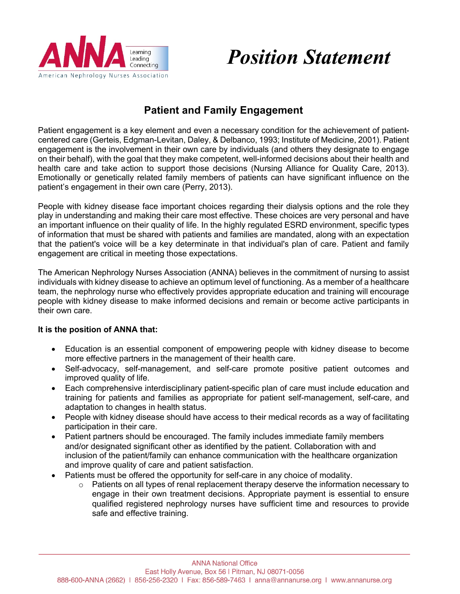

# *Position Statement*

## **Patient and Family Engagement**

Patient engagement is a key element and even a necessary condition for the achievement of patientcentered care (Gerteis, Edgman-Levitan, Daley, & Delbanco, 1993; Institute of Medicine, 2001). Patient engagement is the involvement in their own care by individuals (and others they designate to engage on their behalf), with the goal that they make competent, well-informed decisions about their health and health care and take action to support those decisions (Nursing Alliance for Quality Care, 2013). Emotionally or genetically related family members of patients can have significant influence on the patient's engagement in their own care (Perry, 2013).

People with kidney disease face important choices regarding their dialysis options and the role they play in understanding and making their care most effective. These choices are very personal and have an important influence on their quality of life. In the highly regulated ESRD environment, specific types of information that must be shared with patients and families are mandated, along with an expectation that the patient's voice will be a key determinate in that individual's plan of care. Patient and family engagement are critical in meeting those expectations.

The American Nephrology Nurses Association (ANNA) believes in the commitment of nursing to assist individuals with kidney disease to achieve an optimum level of functioning. As a member of a healthcare team, the nephrology nurse who effectively provides appropriate education and training will encourage people with kidney disease to make informed decisions and remain or become active participants in their own care.

#### **It is the position of ANNA that:**

- Education is an essential component of empowering people with kidney disease to become more effective partners in the management of their health care.
- Self-advocacy, self-management, and self-care promote positive patient outcomes and improved quality of life.
- Each comprehensive interdisciplinary patient-specific plan of care must include education and training for patients and families as appropriate for patient self-management, self-care, and adaptation to changes in health status.
- People with kidney disease should have access to their medical records as a way of facilitating participation in their care.
- Patient partners should be encouraged. The family includes immediate family members and/or designated significant other as identified by the patient. Collaboration with and inclusion of the patient/family can enhance communication with the healthcare organization and improve quality of care and patient satisfaction.
- Patients must be offered the opportunity for self-care in any choice of modality.
	- o Patients on all types of renal replacement therapy deserve the information necessary to engage in their own treatment decisions. Appropriate payment is essential to ensure qualified registered nephrology nurses have sufficient time and resources to provide safe and effective training.